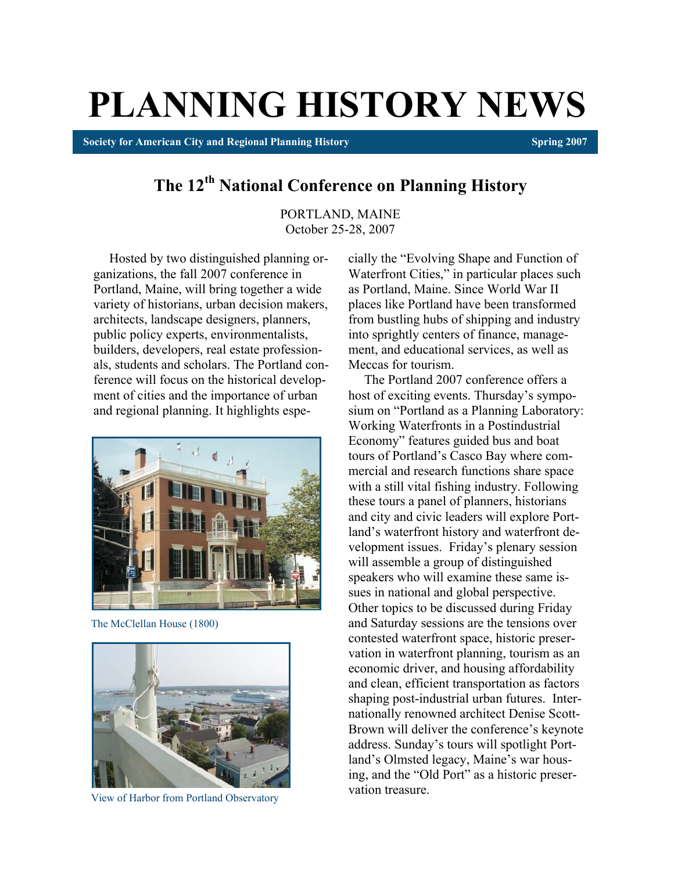# PLANNING HISTORY NEWS

Society for American City and Regional Planning History Spring 2007 Spring 2007

# The 12<sup>th</sup> National Conference on Planning History

PORTLAND, MAINE October 25-28, 2007

Hosted by two distinguished planning organizations, the fall 2007 conference in Portland, Maine, will bring together a wide variety of historians, urban decision makers, architects, landscape designers, planners, public policy experts, environmentalists, builders, developers, real estate professionals, students and scholars. The Portland conference will focus on the historical development of cities and the importance of urban and regional planning. It highlights espe-



The McClellan House (1800)



View of Harbor from Portland Observatory

cially the "Evolving Shape and Function of Waterfront Cities," in particular places such as Portland, Maine. Since World War II places like Portland have been transformed from bustling hubs of shipping and industry into sprightly centers of finance, management, and educational services, as well as Meccas for tourism.

The Portland 2007 conference offers a host of exciting events. Thursday's symposium on "Portland as a Planning Laboratory: Working Waterfronts in a Postindustrial Economy" features guided bus and boat tours of Portland's Casco Bay where commercial and research functions share space with a still vital fishing industry. Following these tours a panel of planners, historians and city and civic leaders will explore Portland's waterfront history and waterfront development issues. Friday's plenary session will assemble a group of distinguished speakers who will examine these same issues in national and global perspective. Other topics to be discussed during Friday and Saturday sessions are the tensions over contested waterfront space, historic preservation in waterfront planning, tourism as an economic driver, and housing affordability and clean, efficient transportation as factors shaping post-industrial urban futures. Internationally renowned architect Denise Scott-Brown will deliver the conference's keynote address. Sunday's tours will spotlight Portland's Olmsted legacy, Maine's war housing, and the "Old Port" as a historic preservation treasure.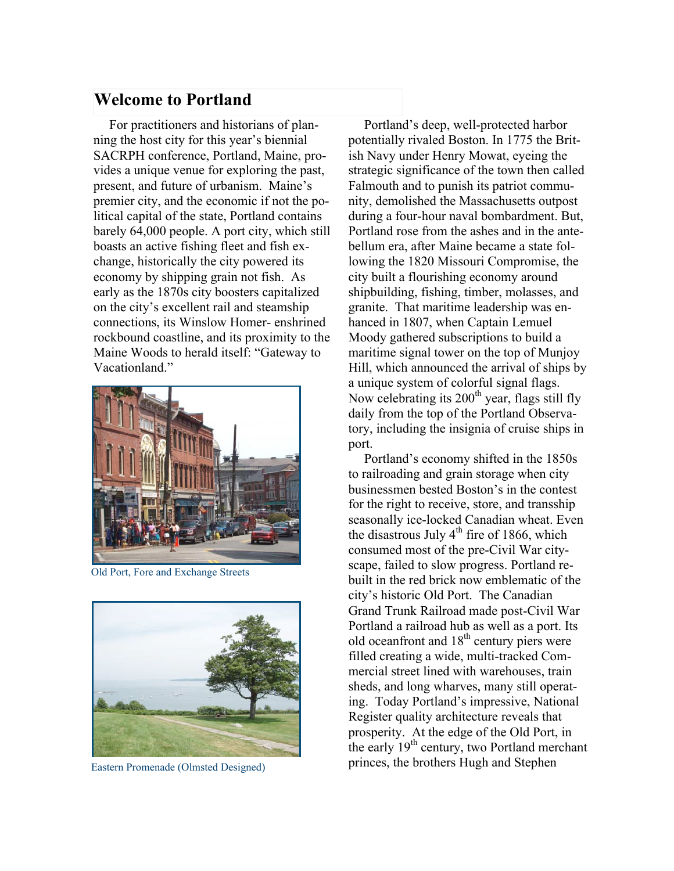# Welcome to Portland

For practitioners and historians of planning the host city for this year's biennial SACRPH conference, Portland, Maine, provides a unique venue for exploring the past, present, and future of urbanism. Maine's premier city, and the economic if not the political capital of the state, Portland contains barely 64,000 people. A port city, which still boasts an active fishing fleet and fish exchange, historically the city powered its economy by shipping grain not fish. As early as the 1870s city boosters capitalized on the city's excellent rail and steamship connections, its Winslow Homer- enshrined rockbound coastline, and its proximity to the Maine Woods to herald itself: "Gateway to Vacationland."



Old Port, Fore and Exchange Streets



Eastern Promenade (Olmsted Designed)

Portland's deep, well-protected harbor potentially rivaled Boston. In 1775 the British Navy under Henry Mowat, eyeing the strategic significance of the town then called Falmouth and to punish its patriot community, demolished the Massachusetts outpost during a four-hour naval bombardment. But, Portland rose from the ashes and in the antebellum era, after Maine became a state following the 1820 Missouri Compromise, the city built a flourishing economy around shipbuilding, fishing, timber, molasses, and granite. That maritime leadership was enhanced in 1807, when Captain Lemuel Moody gathered subscriptions to build a maritime signal tower on the top of Munjoy Hill, which announced the arrival of ships by a unique system of colorful signal flags. Now celebrating its  $200<sup>th</sup>$  year, flags still fly daily from the top of the Portland Observatory, including the insignia of cruise ships in port.

Portland's economy shifted in the 1850s to railroading and grain storage when city businessmen bested Boston's in the contest for the right to receive, store, and transship seasonally ice-locked Canadian wheat. Even the disastrous July  $4<sup>th</sup>$  fire of 1866, which consumed most of the pre-Civil War cityscape, failed to slow progress. Portland rebuilt in the red brick now emblematic of the city's historic Old Port. The Canadian Grand Trunk Railroad made post-Civil War Portland a railroad hub as well as a port. Its old oceanfront and  $18<sup>th</sup>$  century piers were filled creating a wide, multi-tracked Commercial street lined with warehouses, train sheds, and long wharves, many still operating. Today Portland's impressive, National Register quality architecture reveals that prosperity. At the edge of the Old Port, in the early  $19<sup>th</sup>$  century, two Portland merchant princes, the brothers Hugh and Stephen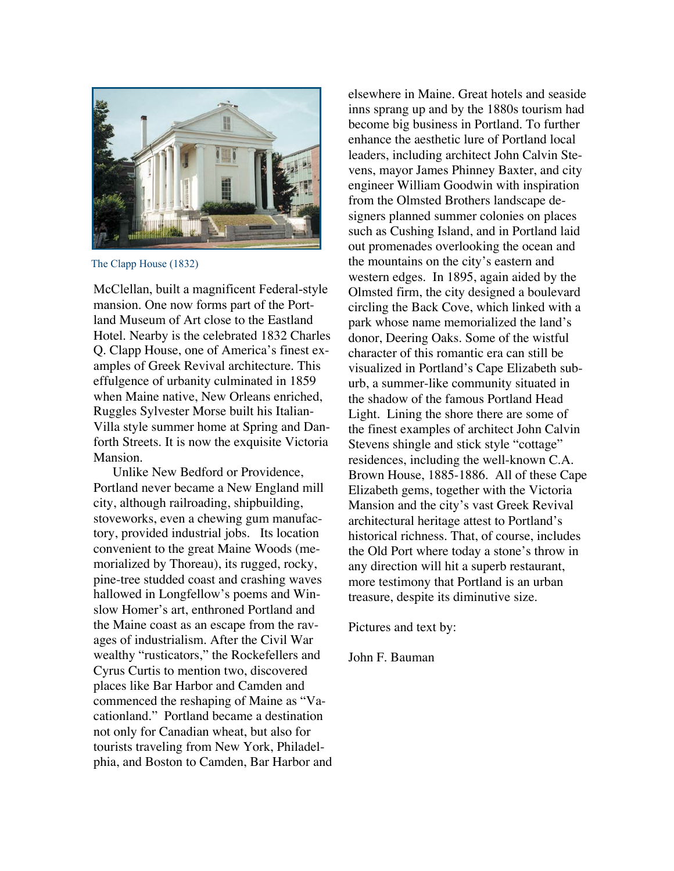

The Clapp House (1832)

McClellan, built a magnificent Federal-style mansion. One now forms part of the Portland Museum of Art close to the Eastland Hotel. Nearby is the celebrated 1832 Charles Q. Clapp House, one of America's finest examples of Greek Revival architecture. This effulgence of urbanity culminated in 1859 when Maine native, New Orleans enriched, Ruggles Sylvester Morse built his Italian-Villa style summer home at Spring and Danforth Streets. It is now the exquisite Victoria Mansion.

 Unlike New Bedford or Providence, Portland never became a New England mill city, although railroading, shipbuilding, stoveworks, even a chewing gum manufactory, provided industrial jobs. Its location convenient to the great Maine Woods (memorialized by Thoreau), its rugged, rocky, pine-tree studded coast and crashing waves hallowed in Longfellow's poems and Winslow Homer's art, enthroned Portland and the Maine coast as an escape from the ravages of industrialism. After the Civil War wealthy "rusticators," the Rockefellers and Cyrus Curtis to mention two, discovered places like Bar Harbor and Camden and commenced the reshaping of Maine as "Vacationland." Portland became a destination not only for Canadian wheat, but also for tourists traveling from New York, Philadelphia, and Boston to Camden, Bar Harbor and elsewhere in Maine. Great hotels and seaside inns sprang up and by the 1880s tourism had become big business in Portland. To further enhance the aesthetic lure of Portland local leaders, including architect John Calvin Stevens, mayor James Phinney Baxter, and city engineer William Goodwin with inspiration from the Olmsted Brothers landscape designers planned summer colonies on places such as Cushing Island, and in Portland laid out promenades overlooking the ocean and the mountains on the city's eastern and western edges. In 1895, again aided by the Olmsted firm, the city designed a boulevard circling the Back Cove, which linked with a park whose name memorialized the land's donor, Deering Oaks. Some of the wistful character of this romantic era can still be visualized in Portland's Cape Elizabeth suburb, a summer-like community situated in the shadow of the famous Portland Head Light. Lining the shore there are some of the finest examples of architect John Calvin Stevens shingle and stick style "cottage" residences, including the well-known C.A. Brown House, 1885-1886. All of these Cape Elizabeth gems, together with the Victoria Mansion and the city's vast Greek Revival architectural heritage attest to Portland's historical richness. That, of course, includes the Old Port where today a stone's throw in any direction will hit a superb restaurant, more testimony that Portland is an urban treasure, despite its diminutive size.

Pictures and text by:

John F. Bauman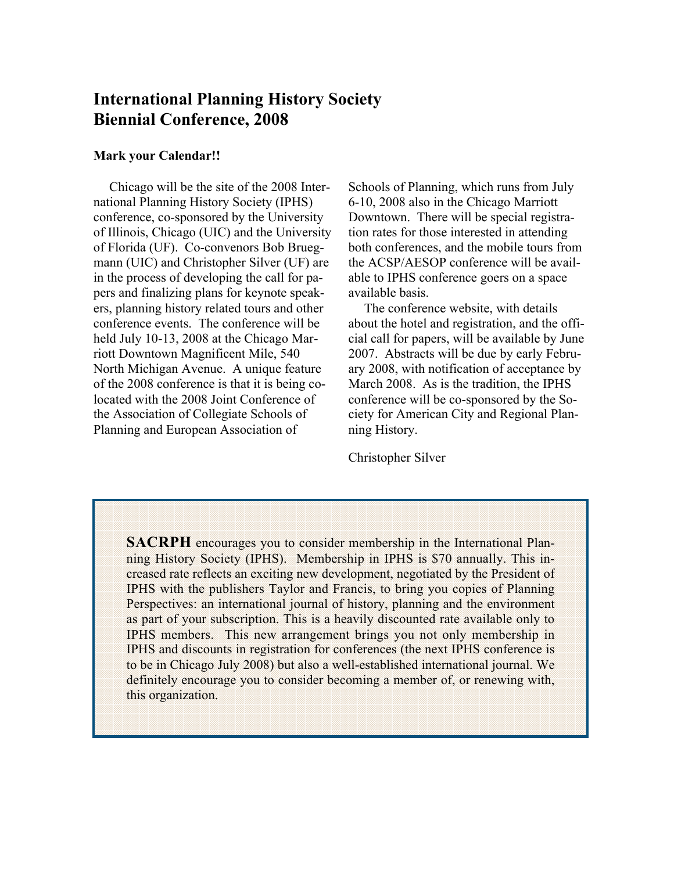# International Planning History Society Biennial Conference, 2008

#### Mark your Calendar!!

Chicago will be the site of the 2008 International Planning History Society (IPHS) conference, co-sponsored by the University of Illinois, Chicago (UIC) and the University of Florida (UF). Co-convenors Bob Bruegmann (UIC) and Christopher Silver (UF) are in the process of developing the call for papers and finalizing plans for keynote speakers, planning history related tours and other conference events. The conference will be held July 10-13, 2008 at the Chicago Marriott Downtown Magnificent Mile, 540 North Michigan Avenue. A unique feature of the 2008 conference is that it is being colocated with the 2008 Joint Conference of the Association of Collegiate Schools of Planning and European Association of

Schools of Planning, which runs from July 6-10, 2008 also in the Chicago Marriott Downtown. There will be special registration rates for those interested in attending both conferences, and the mobile tours from the ACSP/AESOP conference will be available to IPHS conference goers on a space available basis.

The conference website, with details about the hotel and registration, and the official call for papers, will be available by June 2007. Abstracts will be due by early February 2008, with notification of acceptance by March 2008. As is the tradition, the IPHS conference will be co-sponsored by the Society for American City and Regional Planning History.

Christopher Silver

SACRPH encourages you to consider membership in the International Planning History Society (IPHS). Membership in IPHS is \$70 annually. This increased rate reflects an exciting new development, negotiated by the President of IPHS with the publishers Taylor and Francis, to bring you copies of Planning Perspectives: an international journal of history, planning and the environment as part of your subscription. This is a heavily discounted rate available only to IPHS members. This new arrangement brings you not only membership in IPHS and discounts in registration for conferences (the next IPHS conference is to be in Chicago July 2008) but also a well-established international journal. We definitely encourage you to consider becoming a member of, or renewing with, this organization.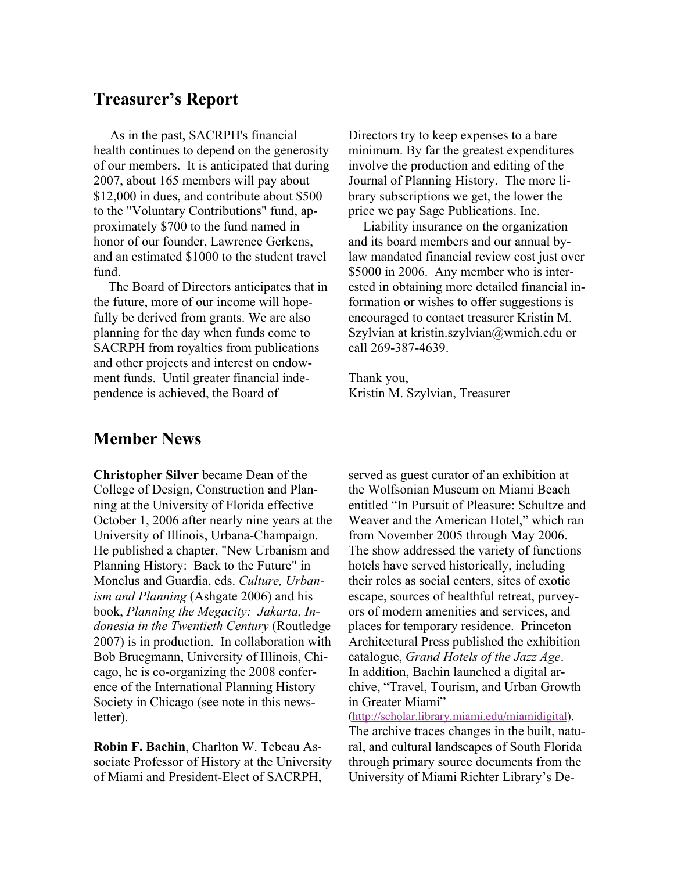# Treasurer's Report

 As in the past, SACRPH's financial health continues to depend on the generosity of our members. It is anticipated that during 2007, about 165 members will pay about \$12,000 in dues, and contribute about \$500 to the "Voluntary Contributions" fund, approximately \$700 to the fund named in honor of our founder, Lawrence Gerkens, and an estimated \$1000 to the student travel fund.

The Board of Directors anticipates that in the future, more of our income will hopefully be derived from grants. We are also planning for the day when funds come to SACRPH from royalties from publications and other projects and interest on endowment funds. Until greater financial independence is achieved, the Board of

Directors try to keep expenses to a bare minimum. By far the greatest expenditures involve the production and editing of the Journal of Planning History. The more library subscriptions we get, the lower the price we pay Sage Publications. Inc.

Liability insurance on the organization and its board members and our annual bylaw mandated financial review cost just over \$5000 in 2006. Any member who is interested in obtaining more detailed financial information or wishes to offer suggestions is encouraged to contact treasurer Kristin M. Szylvian at kristin.szylvian@wmich.edu or call 269-387-4639.

Thank you, Kristin M. Szylvian, Treasurer

# Member News

Christopher Silver became Dean of the College of Design, Construction and Planning at the University of Florida effective October 1, 2006 after nearly nine years at the University of Illinois, Urbana-Champaign. He published a chapter, "New Urbanism and Planning History: Back to the Future" in Monclus and Guardia, eds. *Culture, Urbanism and Planning* (Ashgate 2006) and his book, *Planning the Megacity: Jakarta, Indonesia in the Twentieth Century* (Routledge 2007) is in production. In collaboration with Bob Bruegmann, University of Illinois, Chicago, he is co-organizing the 2008 conference of the International Planning History Society in Chicago (see note in this newsletter).

Robin F. Bachin, Charlton W. Tebeau Associate Professor of History at the University of Miami and President-Elect of SACRPH,

served as guest curator of an exhibition at the Wolfsonian Museum on Miami Beach entitled "In Pursuit of Pleasure: Schultze and Weaver and the American Hotel," which ran from November 2005 through May 2006. The show addressed the variety of functions hotels have served historically, including their roles as social centers, sites of exotic escape, sources of healthful retreat, purveyors of modern amenities and services, and places for temporary residence. Princeton Architectural Press published the exhibition catalogue, *Grand Hotels of the Jazz Age*. In addition, Bachin launched a digital archive, "Travel, Tourism, and Urban Growth in Greater Miami"

(http://scholar.library.miami.edu/miamidigital). The archive traces changes in the built, natural, and cultural landscapes of South Florida through primary source documents from the University of Miami Richter Library's De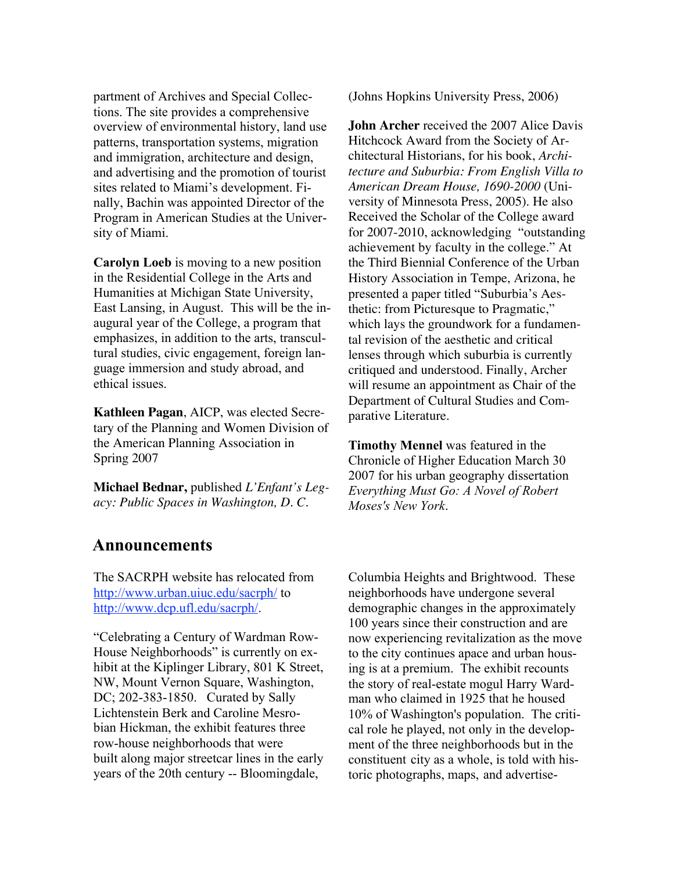partment of Archives and Special Collections. The site provides a comprehensive overview of environmental history, land use patterns, transportation systems, migration and immigration, architecture and design, and advertising and the promotion of tourist sites related to Miami's development. Finally, Bachin was appointed Director of the Program in American Studies at the University of Miami.

Carolyn Loeb is moving to a new position in the Residential College in the Arts and Humanities at Michigan State University, East Lansing, in August. This will be the inaugural year of the College, a program that emphasizes, in addition to the arts, transcultural studies, civic engagement, foreign language immersion and study abroad, and ethical issues.

**Kathleen Pagan**, AICP, was elected Secretary of the Planning and Women Division of the American Planning Association in Spring 2007

**Michael Bednar,** published *L'Enfant's Legacy: Public Spaces in Washington, D. C.*

# Announcements

The SACRPH website has relocated from http://www.urban.uiuc.edu/sacrph/ to http://www.dcp.ufl.edu/sacrph/.

"Celebrating a Century of Wardman Row-House Neighborhoods" is currently on exhibit at the Kiplinger Library, 801 K Street, NW, Mount Vernon Square, Washington, DC; 202-383-1850. Curated by Sally Lichtenstein Berk and Caroline Mesrobian Hickman, the exhibit features three row-house neighborhoods that were built along major streetcar lines in the early years of the 20th century -- Bloomingdale,

(Johns Hopkins University Press, 2006)

**John Archer** received the 2007 Alice Davis Hitchcock Award from the Society of Architectural Historians, for his book, *Architecture and Suburbia: From English Villa to American Dream House, 1690-2000* (University of Minnesota Press, 2005). He also Received the Scholar of the College award for 2007-2010, acknowledging "outstanding achievement by faculty in the college." At the Third Biennial Conference of the Urban History Association in Tempe, Arizona, he presented a paper titled "Suburbia's Aesthetic: from Picturesque to Pragmatic," which lays the groundwork for a fundamental revision of the aesthetic and critical lenses through which suburbia is currently critiqued and understood. Finally, Archer will resume an appointment as Chair of the Department of Cultural Studies and Comparative Literature.

Timothy Mennel was featured in the Chronicle of Higher Education March 30 2007 for his urban geography dissertation *Everything Must Go: A Novel of Robert Moses's New York*.

Columbia Heights and Brightwood. These neighborhoods have undergone several demographic changes in the approximately 100 years since their construction and are now experiencing revitalization as the move to the city continues apace and urban housing is at a premium. The exhibit recounts the story of real-estate mogul Harry Wardman who claimed in 1925 that he housed 10% of Washington's population. The critical role he played, not only in the development of the three neighborhoods but in the constituent city as a whole, is told with historic photographs, maps, and advertise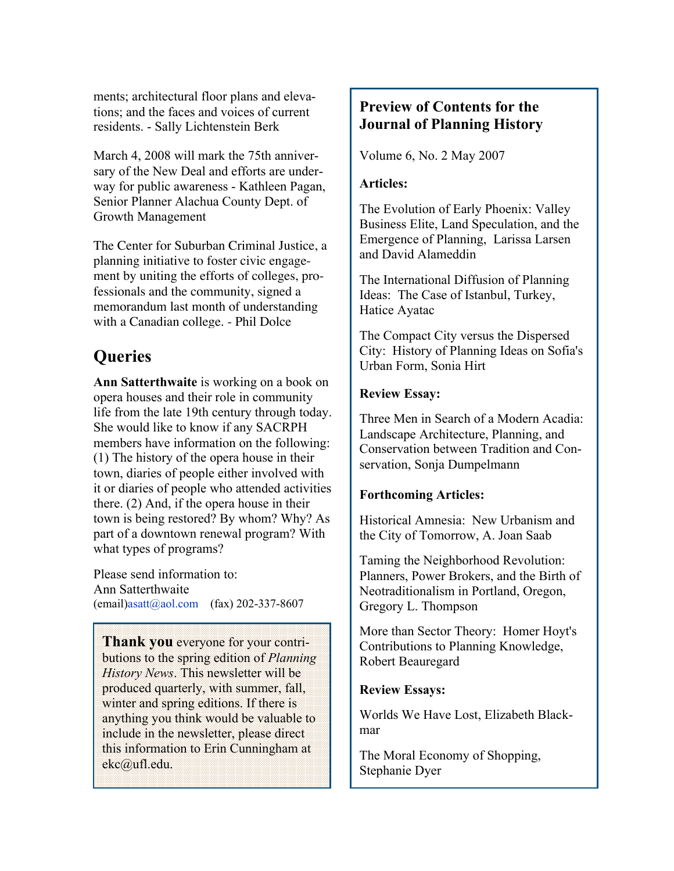ments; architectural floor plans and elevations; and the faces and voices of current residents. - Sally Lichtenstein Berk

March 4, 2008 will mark the 75th anniversary of the New Deal and efforts are underway for public awareness - Kathleen Pagan, Senior Planner Alachua County Dept. of Growth Management

The Center for Suburban Criminal Justice, a planning initiative to foster civic engagement by uniting the efforts of colleges, professionals and the community, signed a memorandum last month of understanding with a Canadian college. - Phil Dolce

# **Queries**

Ann Satterthwaite is working on a book on opera houses and their role in community life from the late 19th century through today. She would like to know if any SACRPH members have information on the following: (1) The history of the opera house in their town, diaries of people either involved with it or diaries of people who attended activities there. (2) And, if the opera house in their town is being restored? By whom? Why? As part of a downtown renewal program? With what types of programs?

Please send information to: Ann Satterthwaite (email)asatt@aol.com (fax) 202-337-8607

Thank you everyone for your contributions to the spring edition of *Planning History News*. This newsletter will be produced quarterly, with summer, fall, winter and spring editions. If there is anything you think would be valuable to include in the newsletter, please direct this information to Erin Cunningham at ekc@ufl.edu.

# Preview of Contents for the Journal of Planning History

Volume 6, No. 2 May 2007

# Articles:

The Evolution of Early Phoenix: Valley Business Elite, Land Speculation, and the Emergence of Planning, Larissa Larsen and David Alameddin

The International Diffusion of Planning Ideas: The Case of Istanbul, Turkey, Hatice Ayatac

The Compact City versus the Dispersed City: History of Planning Ideas on Sofia's Urban Form, Sonia Hirt

# Review Essay:

Three Men in Search of a Modern Acadia: Landscape Architecture, Planning, and Conservation between Tradition and Conservation, Sonja Dumpelmann

### Forthcoming Articles:

Historical Amnesia: New Urbanism and the City of Tomorrow, A. Joan Saab

Taming the Neighborhood Revolution: Planners, Power Brokers, and the Birth of Neotraditionalism in Portland, Oregon, Gregory L. Thompson

More than Sector Theory: Homer Hoyt's Contributions to Planning Knowledge, Robert Beauregard

### Review Essays:

Worlds We Have Lost, Elizabeth Blackmar

The Moral Economy of Shopping, Stephanie Dyer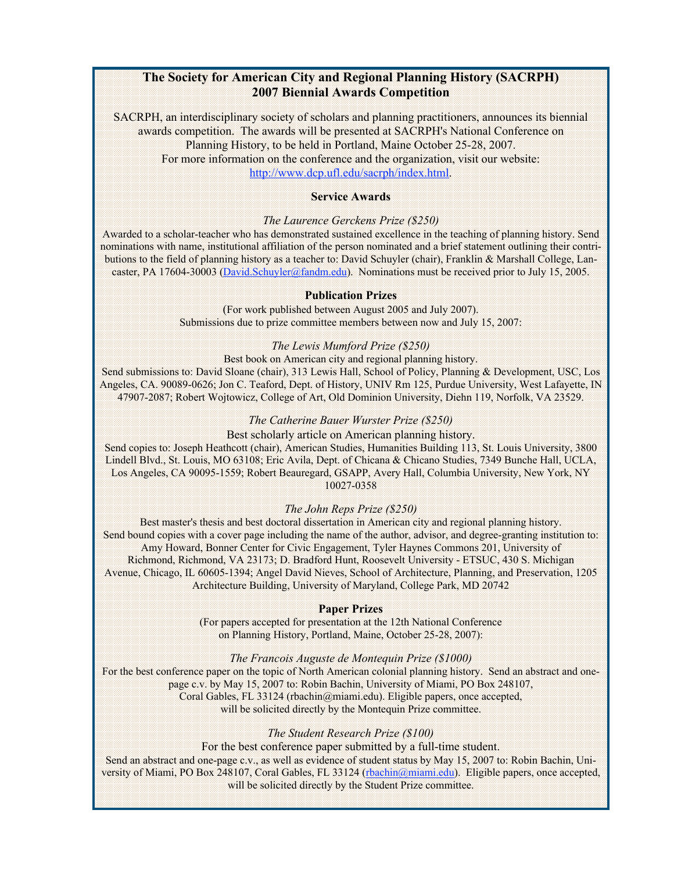#### The Society for American City and Regional Planning History (SACRPH) 2007 Biennial Awards Competition

SACRPH, an interdisciplinary society of scholars and planning practitioners, announces its biennial awards competition. The awards will be presented at SACRPH's National Conference on Planning History, to be held in Portland, Maine October 25-28, 2007. For more information on the conference and the organization, visit our website: http://www.dcp.ufl.edu/sacrph/index.html.

#### Service Awards

#### *The Laurence Gerckens Prize (\$250)*

Awarded to a scholar-teacher who has demonstrated sustained excellence in the teaching of planning history. Send nominations with name, institutional affiliation of the person nominated and a brief statement outlining their contributions to the field of planning history as a teacher to: David Schuyler (chair), Franklin & Marshall College, Lancaster, PA 17604-30003 (David.Schuyler@fandm.edu). Nominations must be received prior to July 15, 2005.

#### Publication Prizes

(For work published between August 2005 and July 2007). Submissions due to prize committee members between now and July 15, 2007:

#### *The Lewis Mumford Prize (\$250)*

Best book on American city and regional planning history.

Send submissions to: David Sloane (chair), 313 Lewis Hall, School of Policy, Planning & Development, USC, Los Angeles, CA. 90089-0626; Jon C. Teaford, Dept. of History, UNIV Rm 125, Purdue University, West Lafayette, IN 47907-2087; Robert Wojtowicz, College of Art, Old Dominion University, Diehn 119, Norfolk, VA 23529.

#### *The Catherine Bauer Wurster Prize (\$250)*

Best scholarly article on American planning history.

Send copies to: Joseph Heathcott (chair), American Studies, Humanities Building 113, St. Louis University, 3800 Lindell Blvd., St. Louis, MO 63108; Eric Avila, Dept. of Chicana & Chicano Studies, 7349 Bunche Hall, UCLA, Los Angeles, CA 90095-1559; Robert Beauregard, GSAPP, Avery Hall, Columbia University, New York, NY 10027-0358

#### *The John Reps Prize (\$250)*

Best master's thesis and best doctoral dissertation in American city and regional planning history. Send bound copies with a cover page including the name of the author, advisor, and degree-granting institution to: Amy Howard, Bonner Center for Civic Engagement, Tyler Haynes Commons 201, University of Richmond, Richmond, VA 23173; D. Bradford Hunt, Roosevelt University - ETSUC, 430 S. Michigan Avenue, Chicago, IL 60605-1394; Angel David Nieves, School of Architecture, Planning, and Preservation, 1205 Architecture Building, University of Maryland, College Park, MD 20742

#### Paper Prizes

(For papers accepted for presentation at the 12th National Conference on Planning History, Portland, Maine, October 25-28, 2007):

#### *The Francois Auguste de Montequin Prize (\$1000)*

For the best conference paper on the topic of North American colonial planning history. Send an abstract and onepage c.v. by May 15, 2007 to: Robin Bachin, University of Miami, PO Box 248107, Coral Gables, FL 33124 (rbachin@miami.edu). Eligible papers, once accepted, will be solicited directly by the Montequin Prize committee.

#### *The Student Research Prize (\$100)*

For the best conference paper submitted by a full-time student.

Send an abstract and one-page c.v., as well as evidence of student status by May 15, 2007 to: Robin Bachin, University of Miami, PO Box 248107, Coral Gables, FL 33124 (rbachin@miami.edu). Eligible papers, once accepted, will be solicited directly by the Student Prize committee.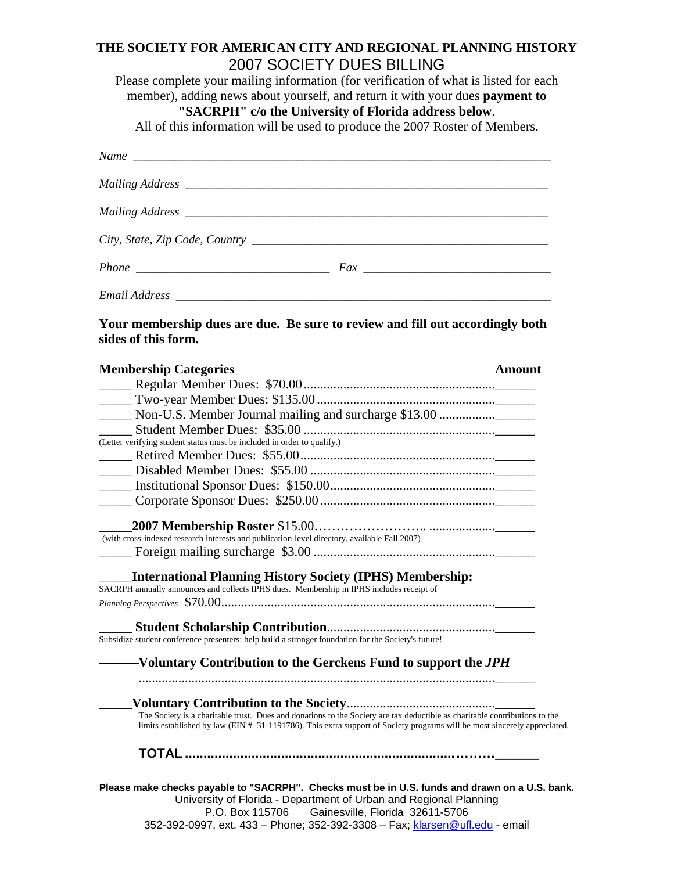# **THE SOCIETY FOR AMERICAN CITY AND REGIONAL PLANNING HISTORY**  2007 SOCIETY DUES BILLING

Please complete your mailing information (for verification of what is listed for each member), adding news about yourself, and return it with your dues **payment to "SACRPH" c/o the University of Florida address below**.

All of this information will be used to produce the 2007 Roster of Members.

|                                                                                                                                                                                                                                                                                                     | City, State, Zip Code, Country $\overline{\phantom{a}}$                                                                                                                                                                                                                                                                                                  |
|-----------------------------------------------------------------------------------------------------------------------------------------------------------------------------------------------------------------------------------------------------------------------------------------------------|----------------------------------------------------------------------------------------------------------------------------------------------------------------------------------------------------------------------------------------------------------------------------------------------------------------------------------------------------------|
|                                                                                                                                                                                                                                                                                                     | $Phone \_$                                                                                                                                                                                                                                                                                                                                               |
|                                                                                                                                                                                                                                                                                                     |                                                                                                                                                                                                                                                                                                                                                          |
| sides of this form.                                                                                                                                                                                                                                                                                 | Your membership dues are due. Be sure to review and fill out accordingly both                                                                                                                                                                                                                                                                            |
| <b>Membership Categories</b><br>(Letter verifying student status must be included in order to qualify.)<br>(with cross-indexed research interests and publication-level directory, available Fall 2007)<br>SACRPH annually announces and collects IPHS dues. Membership in IPHS includes receipt of | <b>Amount</b><br><b>International Planning History Society (IPHS) Membership:</b>                                                                                                                                                                                                                                                                        |
|                                                                                                                                                                                                                                                                                                     | Subsidize student conference presenters: help build a stronger foundation for the Society's future!                                                                                                                                                                                                                                                      |
|                                                                                                                                                                                                                                                                                                     | Voluntary Contribution to the Gerckens Fund to support the JPH                                                                                                                                                                                                                                                                                           |
|                                                                                                                                                                                                                                                                                                     | The Society is a charitable trust. Dues and donations to the Society are tax deductible as charitable contributions to the<br>limits established by law (EIN # 31-1191786). This extra support of Society programs will be most sincerely appreciated.<br>Please make checks payable to "SACRPH". Checks must be in U.S. funds and drawn on a U.S. bank. |

352-392-0997, ext. 433 – Phone; 352-392-3308 – Fax; <u>klarsen@ufl.edu</u> - email